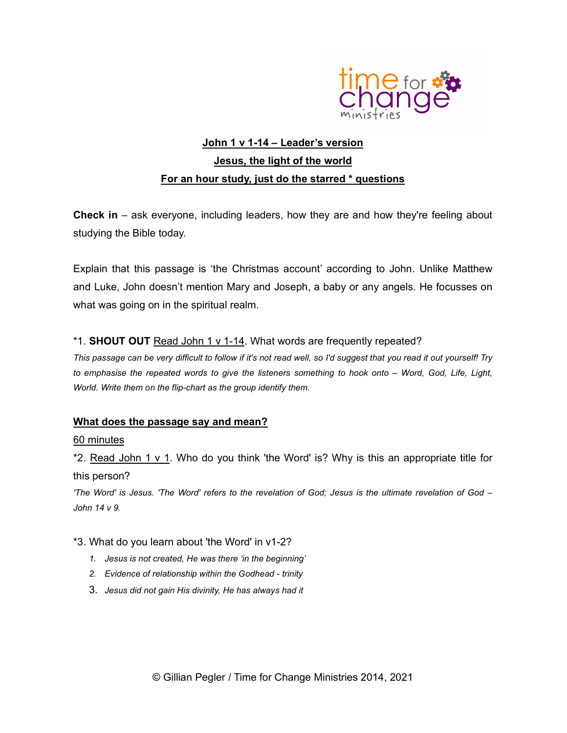

## John 1 v 1-14 – Leader's version Jesus, the light of the world For an hour study, just do the starred \* questions

Check in – ask everyone, including leaders, how they are and how they're feeling about studying the Bible today.

Explain that this passage is 'the Christmas account' according to John. Unlike Matthew and Luke, John doesn't mention Mary and Joseph, a baby or any angels. He focusses on what was going on in the spiritual realm.

#### \*1. SHOUT OUT Read John 1 v 1-14. What words are frequently repeated?

This passage can be very difficult to follow if it's not read well, so I'd suggest that you read it out yourself! Try to emphasise the repeated words to give the listeners something to hook onto – Word, God, Life, Light, World. Write them on the flip-chart as the group identify them.

#### What does the passage say and mean?

#### 60 minutes

\*2. Read John 1  $\vee$  1. Who do you think 'the Word' is? Why is this an appropriate title for this person?

'The Word' is Jesus. 'The Word' refers to the revelation of God; Jesus is the ultimate revelation of God – John 14 v 9.

#### \*3. What do you learn about 'the Word' in v1-2?

- 1. Jesus is not created, He was there 'in the beginning'
- 2. Evidence of relationship within the Godhead trinity
- 3. Jesus did not gain His divinity, He has always had it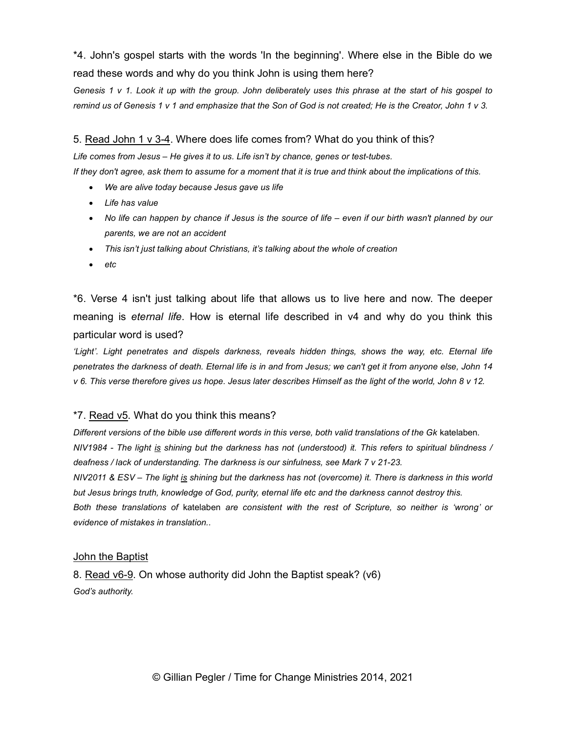\*4. John's gospel starts with the words 'In the beginning'. Where else in the Bible do we read these words and why do you think John is using them here?

Genesis 1 v 1. Look it up with the group. John deliberately uses this phrase at the start of his gospel to remind us of Genesis 1 v 1 and emphasize that the Son of God is not created; He is the Creator, John 1 v 3.

#### 5. Read John 1 v 3-4. Where does life comes from? What do you think of this?

Life comes from Jesus – He gives it to us. Life isn't by chance, genes or test-tubes.

If they don't agree, ask them to assume for a moment that it is true and think about the implications of this.

- We are alive today because Jesus gave us life
- Life has value
- No life can happen by chance if Jesus is the source of life even if our birth wasn't planned by our parents, we are not an accident
- This isn't just talking about Christians, it's talking about the whole of creation
- etc

\*6. Verse 4 isn't just talking about life that allows us to live here and now. The deeper meaning is *eternal life*. How is eternal life described in v4 and why do you think this particular word is used?

'Light'. Light penetrates and dispels darkness, reveals hidden things, shows the way, etc. Eternal life penetrates the darkness of death. Eternal life is in and from Jesus; we can't get it from anyone else, John 14 v 6. This verse therefore gives us hope. Jesus later describes Himself as the light of the world, John 8 v 12.

#### \*7. Read v5. What do you think this means?

Different versions of the bible use different words in this verse, both valid translations of the Gk katelaben. NIV1984 - The light is shining but the darkness has not (understood) it. This refers to spiritual blindness / deafness / lack of understanding. The darkness is our sinfulness, see Mark 7 v 21-23. NIV2011 & ESV – The light is shining but the darkness has not (overcome) it. There is darkness in this world but Jesus brings truth, knowledge of God, purity, eternal life etc and the darkness cannot destroy this. Both these translations of katelaben are consistent with the rest of Scripture, so neither is 'wrong' or

evidence of mistakes in translation..

#### John the Baptist

8. Read v6-9. On whose authority did John the Baptist speak? (v6) God's authority.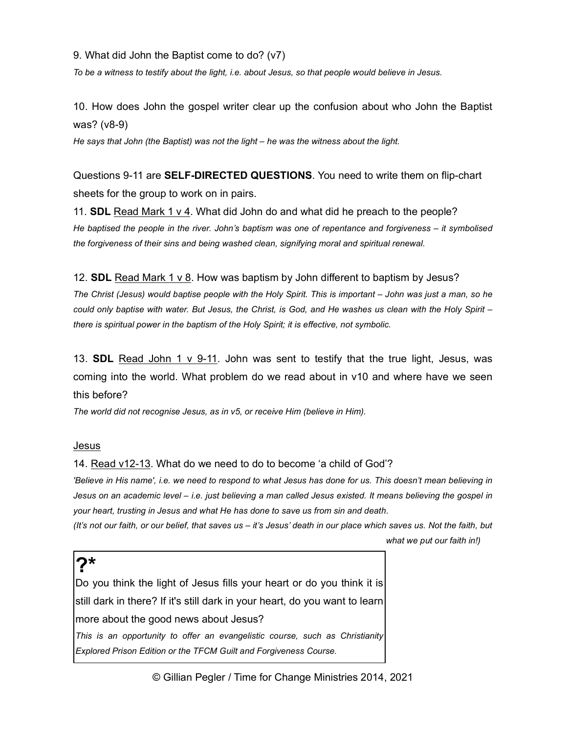9. What did John the Baptist come to do? (v7)

To be a witness to testify about the light, i.e. about Jesus, so that people would believe in Jesus.

10. How does John the gospel writer clear up the confusion about who John the Baptist was? (v8-9)

He says that John (the Baptist) was not the light – he was the witness about the light.

Questions 9-11 are SELF-DIRECTED QUESTIONS. You need to write them on flip-chart sheets for the group to work on in pairs.

11. SDL Read Mark 1 v 4. What did John do and what did he preach to the people? He baptised the people in the river. John's baptism was one of repentance and forgiveness – it symbolised the forgiveness of their sins and being washed clean, signifying moral and spiritual renewal.

#### 12. SDL Read Mark 1 v 8. How was baptism by John different to baptism by Jesus?

The Christ (Jesus) would baptise people with the Holy Spirit. This is important – John was just a man, so he could only baptise with water. But Jesus, the Christ, is God, and He washes us clean with the Holy Spirit – there is spiritual power in the baptism of the Holy Spirit; it is effective, not symbolic.

13. SDL Read John 1 v 9-11. John was sent to testify that the true light, Jesus, was coming into the world. What problem do we read about in v10 and where have we seen this before?

The world did not recognise Jesus, as in v5, or receive Him (believe in Him).

#### Jesus

14. Read v12-13. What do we need to do to become 'a child of God'?

'Believe in His name', i.e. we need to respond to what Jesus has done for us. This doesn't mean believing in Jesus on an academic level – i.e. just believing a man called Jesus existed. It means believing the gospel in your heart, trusting in Jesus and what He has done to save us from sin and death.

(It's not our faith, or our belief, that saves us – it's Jesus' death in our place which saves us. Not the faith, but what we put our faith in!)

### $2*$

Do you think the light of Jesus fills your heart or do you think it is still dark in there? If it's still dark in your heart, do you want to learn more about the good news about Jesus?

This is an opportunity to offer an evangelistic course, such as Christianity Explored Prison Edition or the TFCM Guilt and Forgiveness Course.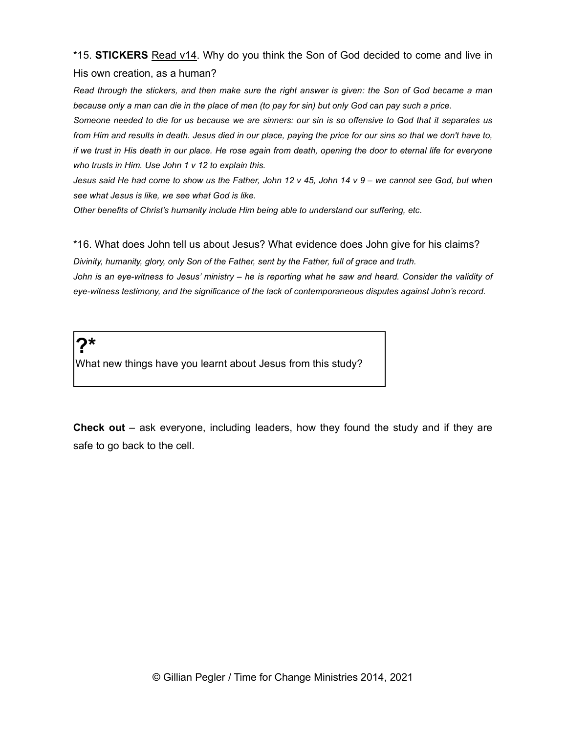\*15. STICKERS Read v14. Why do you think the Son of God decided to come and live in His own creation, as a human?

Read through the stickers, and then make sure the right answer is given: the Son of God became a man because only a man can die in the place of men (to pay for sin) but only God can pay such a price.

Someone needed to die for us because we are sinners: our sin is so offensive to God that it separates us from Him and results in death. Jesus died in our place, paying the price for our sins so that we don't have to, if we trust in His death in our place. He rose again from death, opening the door to eternal life for everyone who trusts in Him. Use John 1 v 12 to explain this.

Jesus said He had come to show us the Father, John 12 v 45, John 14 v 9 – we cannot see God, but when see what Jesus is like, we see what God is like.

Other benefits of Christ's humanity include Him being able to understand our suffering, etc.

\*16. What does John tell us about Jesus? What evidence does John give for his claims?

Divinity, humanity, glory, only Son of the Father, sent by the Father, full of grace and truth. John is an eye-witness to Jesus' ministry – he is reporting what he saw and heard. Consider the validity of eye-witness testimony, and the significance of the lack of contemporaneous disputes against John's record.

# $2^{\star}$

What new things have you learnt about Jesus from this study?

Check out – ask everyone, including leaders, how they found the study and if they are safe to go back to the cell.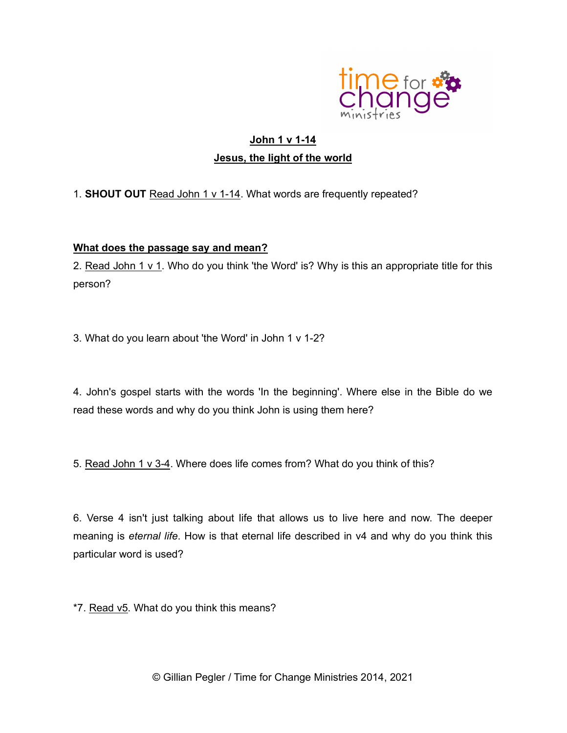

## John 1 v 1-14 Jesus, the light of the world

1. SHOUT OUT Read John 1 v 1-14. What words are frequently repeated?

#### What does the passage say and mean?

2. Read John 1 v 1. Who do you think 'the Word' is? Why is this an appropriate title for this person?

3. What do you learn about 'the Word' in John 1 v 1-2?

4. John's gospel starts with the words 'In the beginning'. Where else in the Bible do we read these words and why do you think John is using them here?

5. Read John 1 v 3-4. Where does life comes from? What do you think of this?

6. Verse 4 isn't just talking about life that allows us to live here and now. The deeper meaning is eternal life. How is that eternal life described in v4 and why do you think this particular word is used?

\*7. Read v5. What do you think this means?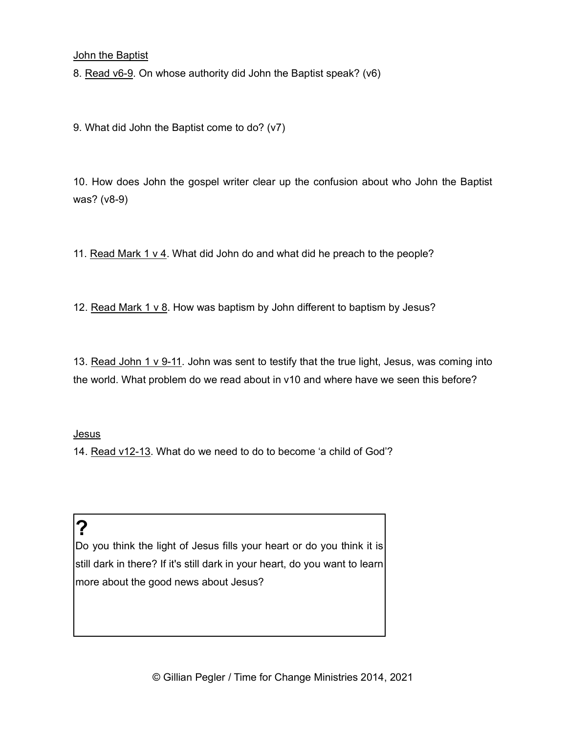**John the Baptist** 

8. Read v6-9. On whose authority did John the Baptist speak? (v6)

9. What did John the Baptist come to do? (v7)

10. How does John the gospel writer clear up the confusion about who John the Baptist was? (v8-9)

11. Read Mark 1 v 4. What did John do and what did he preach to the people?

12. Read Mark 1 v 8. How was baptism by John different to baptism by Jesus?

13. Read John 1 v 9-11. John was sent to testify that the true light, Jesus, was coming into the world. What problem do we read about in v10 and where have we seen this before?

#### Jesus

14. Read v12-13. What do we need to do to become 'a child of God'?

# ?

Do you think the light of Jesus fills your heart or do you think it is still dark in there? If it's still dark in your heart, do you want to learn more about the good news about Jesus?